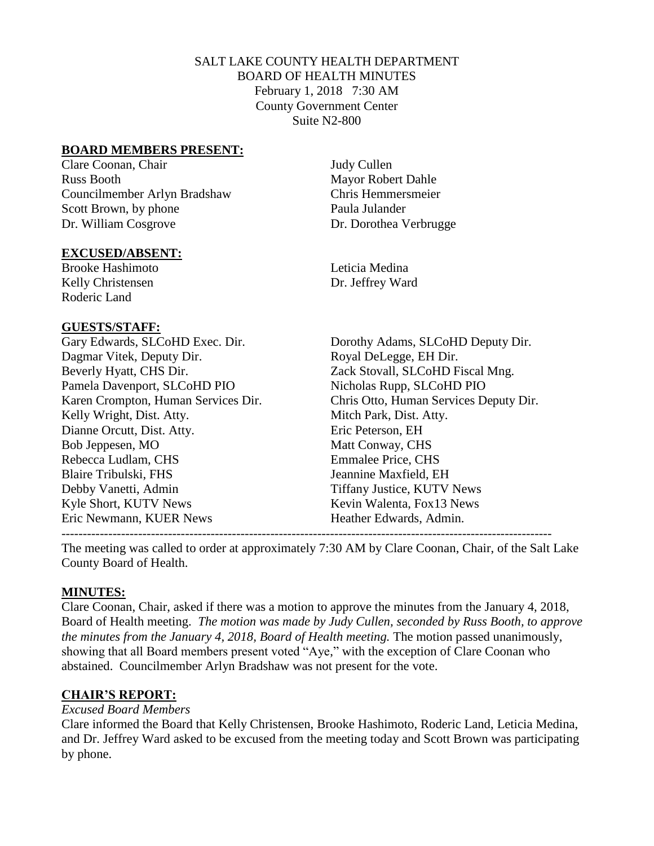# SALT LAKE COUNTY HEALTH DEPARTMENT BOARD OF HEALTH MINUTES February 1, 2018 7:30 AM County Government Center Suite N2-800

## **BOARD MEMBERS PRESENT:**

Clare Coonan, Chair Judy Cullen Russ Booth Mayor Robert Dahle Councilmember Arlyn Bradshaw Chris Hemmersmeier Scott Brown, by phone Paula Julander Dr. William Cosgrove Dr. Dorothea Verbrugge

#### **EXCUSED/ABSENT:**

Brooke Hashimoto Leticia Medina Kelly Christensen Dr. Jeffrey Ward Roderic Land

#### **GUESTS/STAFF:**

Dagmar Vitek, Deputy Dir. Royal DeLegge, EH Dir. Beverly Hyatt, CHS Dir.  $Zack$  Stovall, SLCoHD Fiscal Mng. Pamela Davenport, SLCoHD PIO Nicholas Rupp, SLCoHD PIO Kelly Wright, Dist. Atty. Mitch Park, Dist. Atty. Dianne Orcutt, Dist. Atty. Eric Peterson, EH Bob Jeppesen, MO Matt Conway, CHS Rebecca Ludlam, CHS Emmalee Price, CHS Blaire Tribulski, FHS **State Accord Figure 1.5 and Figure 3.1** Jeannine Maxfield, EH Debby Vanetti, Admin Tiffany Justice, KUTV News Kyle Short, KUTV News Kevin Walenta, Fox13 News Eric Newmann, KUER News Heather Edwards, Admin.

Gary Edwards, SLCoHD Exec. Dir. Dorothy Adams, SLCoHD Deputy Dir. Karen Crompton, Human Services Dir. Chris Otto, Human Services Deputy Dir.

-------------------------------------------------------------------------------------------------------------------

The meeting was called to order at approximately 7:30 AM by Clare Coonan, Chair, of the Salt Lake County Board of Health.

# **MINUTES:**

Clare Coonan, Chair, asked if there was a motion to approve the minutes from the January 4, 2018, Board of Health meeting. *The motion was made by Judy Cullen, seconded by Russ Booth, to approve the minutes from the January 4, 2018, Board of Health meeting.* The motion passed unanimously, showing that all Board members present voted "Aye," with the exception of Clare Coonan who abstained. Councilmember Arlyn Bradshaw was not present for the vote.

# **CHAIR'S REPORT:**

#### *Excused Board Members*

Clare informed the Board that Kelly Christensen, Brooke Hashimoto, Roderic Land, Leticia Medina, and Dr. Jeffrey Ward asked to be excused from the meeting today and Scott Brown was participating by phone.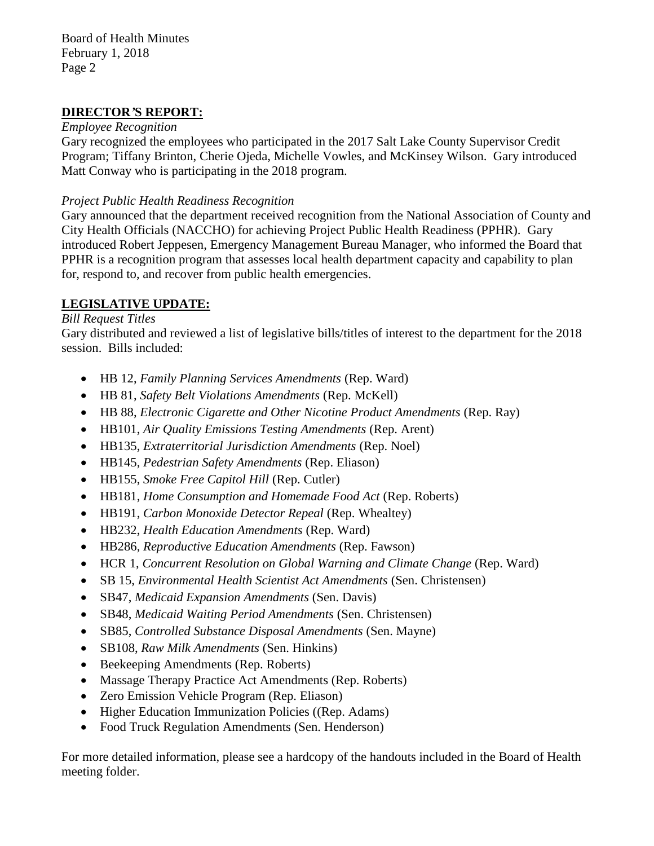Board of Health Minutes February 1, 2018 Page 2

# **DIRECTOR***'***S REPORT:**

#### *Employee Recognition*

Gary recognized the employees who participated in the 2017 Salt Lake County Supervisor Credit Program; Tiffany Brinton, Cherie Ojeda, Michelle Vowles, and McKinsey Wilson. Gary introduced Matt Conway who is participating in the 2018 program.

## *Project Public Health Readiness Recognition*

Gary announced that the department received recognition from the National Association of County and City Health Officials (NACCHO) for achieving Project Public Health Readiness (PPHR). Gary introduced Robert Jeppesen, Emergency Management Bureau Manager, who informed the Board that PPHR is a recognition program that assesses local health department capacity and capability to plan for, respond to, and recover from public health emergencies.

# **LEGISLATIVE UPDATE:**

## *Bill Request Titles*

Gary distributed and reviewed a list of legislative bills/titles of interest to the department for the 2018 session. Bills included:

- HB 12, *Family Planning Services Amendments* (Rep. Ward)
- HB 81, *Safety Belt Violations Amendments* (Rep. McKell)
- HB 88, *Electronic Cigarette and Other Nicotine Product Amendments* (Rep. Ray)
- HB101, *Air Quality Emissions Testing Amendments* (Rep. Arent)
- HB135, *Extraterritorial Jurisdiction Amendments* (Rep. Noel)
- HB145, *Pedestrian Safety Amendments* (Rep. Eliason)
- HB155, *Smoke Free Capitol Hill* (Rep. Cutler)
- HB181, *Home Consumption and Homemade Food Act* (Rep. Roberts)
- HB191, *Carbon Monoxide Detector Repeal* (Rep. Whealtey)
- HB232, *Health Education Amendments* (Rep. Ward)
- HB286, *Reproductive Education Amendments* (Rep. Fawson)
- HCR 1, *Concurrent Resolution on Global Warning and Climate Change* (Rep. Ward)
- SB 15, *Environmental Health Scientist Act Amendments* (Sen. Christensen)
- SB47, *Medicaid Expansion Amendments* (Sen. Davis)
- SB48, *Medicaid Waiting Period Amendments* (Sen. Christensen)
- SB85, *Controlled Substance Disposal Amendments* (Sen. Mayne)
- SB108, *Raw Milk Amendments* (Sen. Hinkins)
- Beekeeping Amendments (Rep. Roberts)
- Massage Therapy Practice Act Amendments (Rep. Roberts)
- Zero Emission Vehicle Program (Rep. Eliason)
- Higher Education Immunization Policies ((Rep. Adams)
- Food Truck Regulation Amendments (Sen. Henderson)

For more detailed information, please see a hardcopy of the handouts included in the Board of Health meeting folder.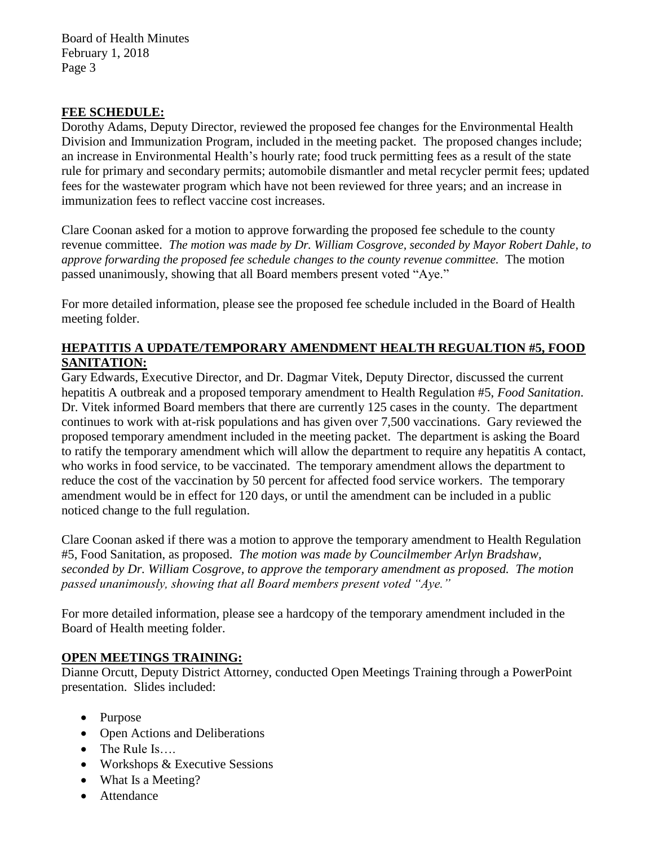Board of Health Minutes February 1, 2018 Page 3

## **FEE SCHEDULE:**

Dorothy Adams, Deputy Director, reviewed the proposed fee changes for the Environmental Health Division and Immunization Program, included in the meeting packet. The proposed changes include; an increase in Environmental Health's hourly rate; food truck permitting fees as a result of the state rule for primary and secondary permits; automobile dismantler and metal recycler permit fees; updated fees for the wastewater program which have not been reviewed for three years; and an increase in immunization fees to reflect vaccine cost increases.

Clare Coonan asked for a motion to approve forwarding the proposed fee schedule to the county revenue committee. *The motion was made by Dr. William Cosgrove, seconded by Mayor Robert Dahle, to approve forwarding the proposed fee schedule changes to the county revenue committee.* The motion passed unanimously, showing that all Board members present voted "Aye."

For more detailed information, please see the proposed fee schedule included in the Board of Health meeting folder.

## **HEPATITIS A UPDATE/TEMPORARY AMENDMENT HEALTH REGUALTION #5, FOOD SANITATION:**

Gary Edwards, Executive Director, and Dr. Dagmar Vitek, Deputy Director, discussed the current hepatitis A outbreak and a proposed temporary amendment to Health Regulation #5, *Food Sanitation*. Dr. Vitek informed Board members that there are currently 125 cases in the county. The department continues to work with at-risk populations and has given over 7,500 vaccinations. Gary reviewed the proposed temporary amendment included in the meeting packet. The department is asking the Board to ratify the temporary amendment which will allow the department to require any hepatitis A contact, who works in food service, to be vaccinated. The temporary amendment allows the department to reduce the cost of the vaccination by 50 percent for affected food service workers. The temporary amendment would be in effect for 120 days, or until the amendment can be included in a public noticed change to the full regulation.

Clare Coonan asked if there was a motion to approve the temporary amendment to Health Regulation #5, Food Sanitation, as proposed. *The motion was made by Councilmember Arlyn Bradshaw, seconded by Dr. William Cosgrove, to approve the temporary amendment as proposed. The motion passed unanimously, showing that all Board members present voted "Aye."* 

For more detailed information, please see a hardcopy of the temporary amendment included in the Board of Health meeting folder.

# **OPEN MEETINGS TRAINING:**

Dianne Orcutt, Deputy District Attorney, conducted Open Meetings Training through a PowerPoint presentation. Slides included:

- Purpose
- Open Actions and Deliberations
- The Rule Is....
- Workshops & Executive Sessions
- What Is a Meeting?
- Attendance